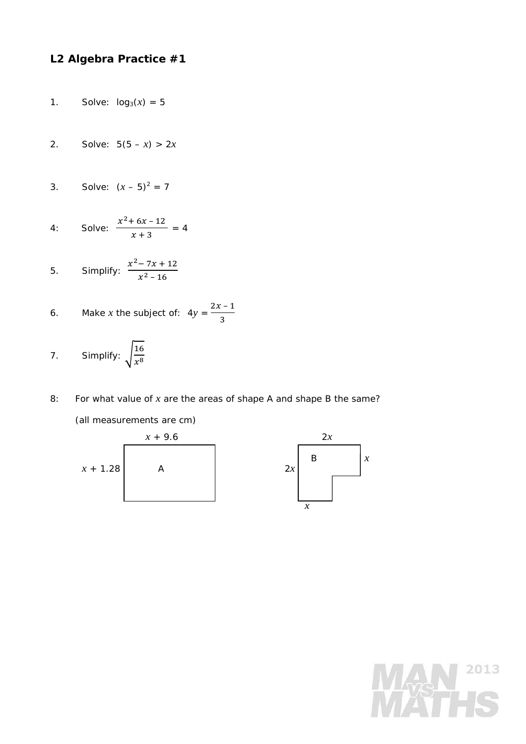## **L2 Algebra Practice #1**

- 1. Solve:  $log_3(x) = 5$
- 2. Solve:  $5(5 x) > 2x$

3. Solve: 
$$
(x - 5)^2 = 7
$$

4: Solve: 
$$
\frac{x^2 + 6x - 12}{x + 3} = 4
$$

5. Simplify: 
$$
\frac{x^2 - 7x + 12}{x^2 - 16}
$$

6. Make *x* the subject of: 
$$
4y = \frac{2x-1}{3}
$$

- 7. Simplify:  $\sqrt{\frac{16}{x^8}}$
- 8: For what value of *x* are the areas of shape A and shape B the same?